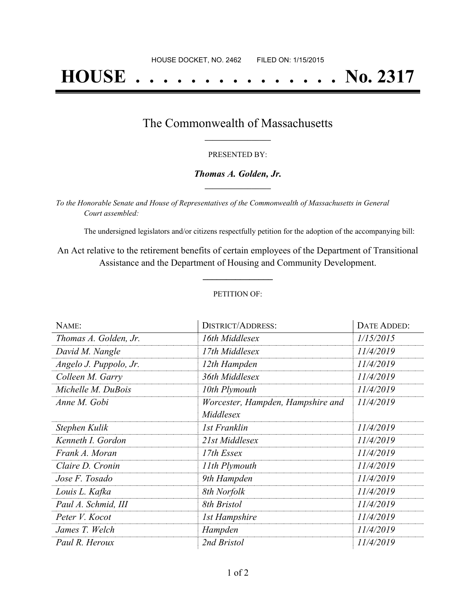# **HOUSE . . . . . . . . . . . . . . . No. 2317**

### The Commonwealth of Massachusetts **\_\_\_\_\_\_\_\_\_\_\_\_\_\_\_\_\_**

#### PRESENTED BY:

#### *Thomas A. Golden, Jr.* **\_\_\_\_\_\_\_\_\_\_\_\_\_\_\_\_\_**

*To the Honorable Senate and House of Representatives of the Commonwealth of Massachusetts in General Court assembled:*

The undersigned legislators and/or citizens respectfully petition for the adoption of the accompanying bill:

An Act relative to the retirement benefits of certain employees of the Department of Transitional Assistance and the Department of Housing and Community Development.

**\_\_\_\_\_\_\_\_\_\_\_\_\_\_\_**

#### PETITION OF:

| NAME:                  | <b>DISTRICT/ADDRESS:</b>                       | DATE ADDED: |
|------------------------|------------------------------------------------|-------------|
| Thomas A. Golden, Jr.  | 16th Middlesex                                 | 1/15/2015   |
| David M. Nangle        | 17th Middlesex                                 | 11/4/2019   |
| Angelo J. Puppolo, Jr. | 12th Hampden                                   | 11/4/2019   |
| Colleen M. Garry       | 36th Middlesex                                 | 11/4/2019   |
| Michelle M. DuBois     | 10th Plymouth                                  | 11/4/2019   |
| Anne M. Gobi           | Worcester, Hampden, Hampshire and<br>Middlesex | 11/4/2019   |
| Stephen Kulik          | 1st Franklin                                   | 11/4/2019   |
| Kenneth I. Gordon      | 21st Middlesex                                 | 11/4/2019   |
| Frank A. Moran         | 17th Essex                                     | 11/4/2019   |
| Claire D. Cronin       | 11th Plymouth                                  | 11/4/2019   |
| Jose F. Tosado         | 9th Hampden                                    | 11/4/2019   |
| Louis L. Kafka         | 8th Norfolk                                    | 11/4/2019   |
| Paul A. Schmid, III    | 8th Bristol                                    | 11/4/2019   |
| Peter V. Kocot         | 1st Hampshire                                  | 11/4/2019   |
| James T. Welch         | Hampden                                        | 11/4/2019   |
| Paul R. Heroux         | 2nd Bristol                                    | 11/4/2019   |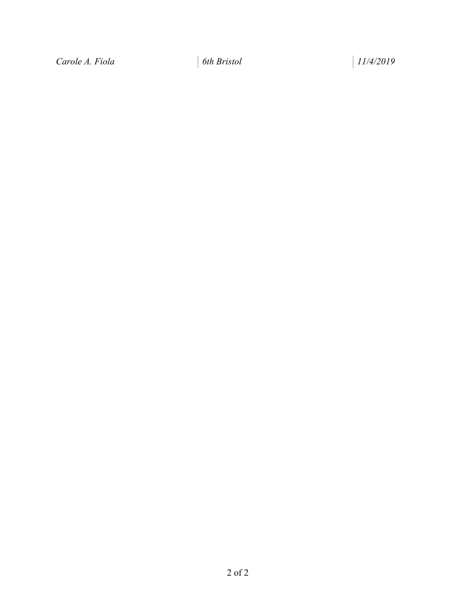*Carole A. Fiola 6th Bristol 11/4/2019*